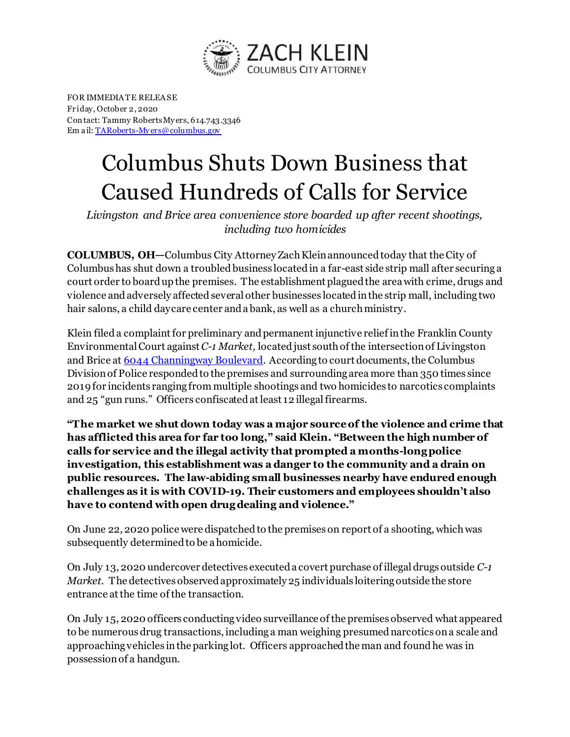

FOR IMMEDIA TE RELEA SE Fr iday, October 2, 2020 Con tact: Tammy Roberts My ers, 614.743.3346 Em a il[: TARoberts-My ers@columbus.gov](mailto:TARoberts-Myers@columbus.gov)

## Columbus Shuts Down Business that Caused Hundreds of Calls for Service

*Livingston and Brice area convenience store boarded up after recent shootings, including two homicides*

**COLUMBUS, OH—**Columbus City Attorney Zach Klein announced today that the City of Columbus has shut down a troubled business located in a far-east side strip mall after securing a court order to board up the premises. The establishment plagued the area with crime, drugs and violence and adversely affected several other businesses located in the strip mall, including two hair salons, a child daycare center and a bank, as well as a church ministry.

Klein filed a complaint for preliminary and permanent injunctive relief in the Franklin County Environmental Court against*C-1 Market,* located just south of the intersection of Livingston and Brice at [6044 Channingway Boulevard](https://www.google.com/maps/place/6044+Channingway+Blvd,+Columbus,+OH+43232/@39.9390573,-82.8340575,17z/data=!3m1!4b1!4m5!3m4!1s0x88386344b02b4bc3:0xd653d7766d6b848d!8m2!3d39.9390573!4d-82.8318688). According to court documents, the Columbus Division of Police responded to the premises and surrounding area more than 350 times since 2019 for incidents ranging from multiple shootings and two homicides to narcotics complaints and 25 "gun runs." Officers confiscated at least 12 illegal firearms.

**"The market we shut down today was a major source of the violence and crime that has afflicted this area for far too long," said Klein. "Between the high number of calls for service and the illegal activity that prompted a months-long police investigation, this establishment was a danger to the community and a drain on public resources. The law-abiding small businesses nearby have endured enough challenges as it is with COVID-19. Their customers and employees shouldn't also have to contend with open drug dealing and violence."**

On June 22, 2020 police were dispatched to the premises on report of a shooting, which was subsequently determined to be a homicide.

On July 13, 2020 undercover detectives executed a covert purchase of illegal drugs outside *C-1 Market.* The detectives observed approximately 25 individuals loitering outside the store entrance at the time of the transaction.

On July 15, 2020 officers conducting video surveillance of the premises observed what appeared to be numerous drug transactions, including a man weighing presumed narcotics on a scale and approaching vehicles in the parking lot. Officers approached the man and found he was in possession of a handgun.